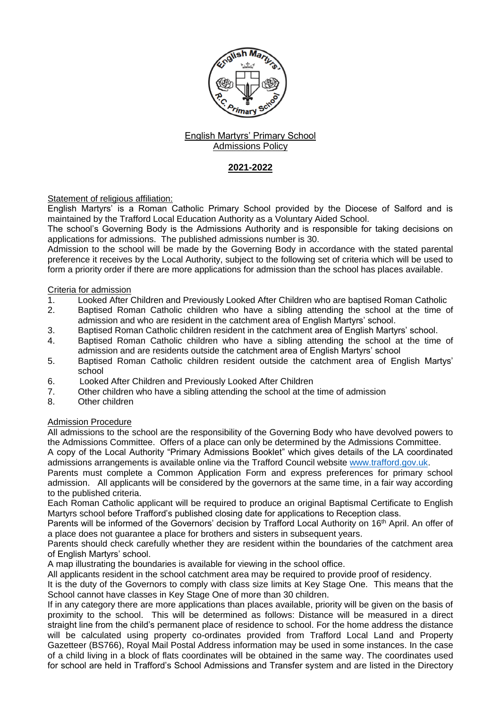

## English Martyrs' Primary School Admissions Policy

# **2021-2022**

Statement of religious affiliation:

English Martyrs' is a Roman Catholic Primary School provided by the Diocese of Salford and is maintained by the Trafford Local Education Authority as a Voluntary Aided School.

The school's Governing Body is the Admissions Authority and is responsible for taking decisions on applications for admissions. The published admissions number is 30.

Admission to the school will be made by the Governing Body in accordance with the stated parental preference it receives by the Local Authority, subject to the following set of criteria which will be used to form a priority order if there are more applications for admission than the school has places available.

## Criteria for admission

- 1. Looked After Children and Previously Looked After Children who are baptised Roman Catholic
- 2. Baptised Roman Catholic children who have a sibling attending the school at the time of admission and who are resident in the catchment area of English Martyrs' school.
- 3. Baptised Roman Catholic children resident in the catchment area of English Martyrs' school.
- 4. Baptised Roman Catholic children who have a sibling attending the school at the time of admission and are residents outside the catchment area of English Martyrs' school
- 5. Baptised Roman Catholic children resident outside the catchment area of English Martys' school
- 6. Looked After Children and Previously Looked After Children
- 7. Other children who have a sibling attending the school at the time of admission
- 8. Other children

## Admission Procedure

All admissions to the school are the responsibility of the Governing Body who have devolved powers to the Admissions Committee. Offers of a place can only be determined by the Admissions Committee.

A copy of the Local Authority "Primary Admissions Booklet" which gives details of the LA coordinated admissions arrangements is available online via the Trafford Council website [www.trafford.gov.uk.](http://www.trafford.gov.uk/)

Parents must complete a Common Application Form and express preferences for primary school admission. All applicants will be considered by the governors at the same time, in a fair way according to the published criteria.

Each Roman Catholic applicant will be required to produce an original Baptismal Certificate to English Martyrs school before Trafford's published closing date for applications to Reception class.

Parents will be informed of the Governors' decision by Trafford Local Authority on 16<sup>th</sup> April. An offer of a place does not guarantee a place for brothers and sisters in subsequent years.

Parents should check carefully whether they are resident within the boundaries of the catchment area of English Martyrs' school.

A map illustrating the boundaries is available for viewing in the school office.

All applicants resident in the school catchment area may be required to provide proof of residency.

It is the duty of the Governors to comply with class size limits at Key Stage One. This means that the School cannot have classes in Key Stage One of more than 30 children.

If in any category there are more applications than places available, priority will be given on the basis of proximity to the school. This will be determined as follows: Distance will be measured in a direct straight line from the child's permanent place of residence to school. For the home address the distance will be calculated using property co-ordinates provided from Trafford Local Land and Property Gazetteer (BS766), Royal Mail Postal Address information may be used in some instances. In the case of a child living in a block of flats coordinates will be obtained in the same way. The coordinates used for school are held in Trafford's School Admissions and Transfer system and are listed in the Directory